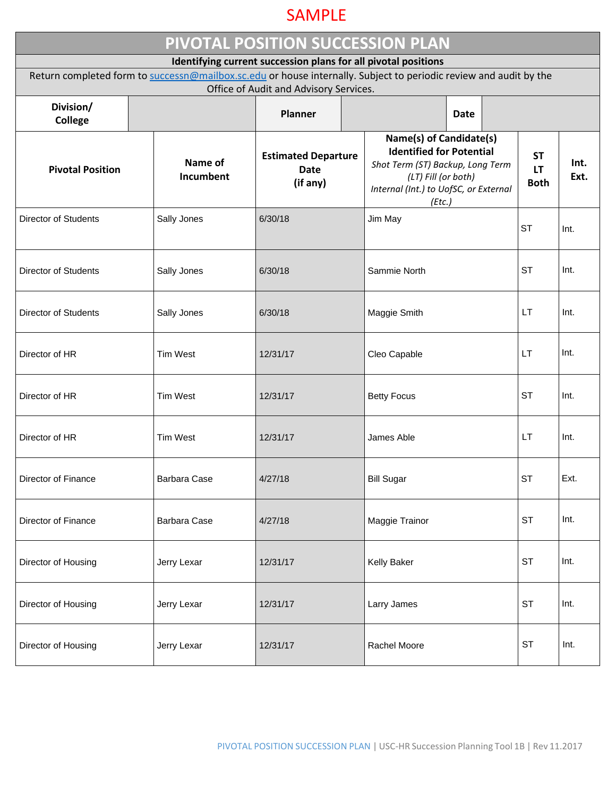## SAMPLE

| PIVOTAL POSITION SUCCESSION PLAN                                                                                                                                                    |                      |                                                       |  |                                                                                                                                                                          |             |                                       |              |  |  |  |  |  |
|-------------------------------------------------------------------------------------------------------------------------------------------------------------------------------------|----------------------|-------------------------------------------------------|--|--------------------------------------------------------------------------------------------------------------------------------------------------------------------------|-------------|---------------------------------------|--------------|--|--|--|--|--|
| Identifying current succession plans for all pivotal positions<br>Return completed form to successn@mailbox.sc.edu or house internally. Subject to periodic review and audit by the |                      |                                                       |  |                                                                                                                                                                          |             |                                       |              |  |  |  |  |  |
| Division/<br><b>College</b>                                                                                                                                                         |                      | Office of Audit and Advisory Services.<br>Planner     |  |                                                                                                                                                                          | <b>Date</b> |                                       |              |  |  |  |  |  |
| <b>Pivotal Position</b>                                                                                                                                                             | Name of<br>Incumbent | <b>Estimated Departure</b><br><b>Date</b><br>(if any) |  | Name(s) of Candidate(s)<br><b>Identified for Potential</b><br>Shot Term (ST) Backup, Long Term<br>(LT) Fill (or both)<br>Internal (Int.) to UofSC, or External<br>(Etc.) |             | <b>ST</b><br><b>LT</b><br><b>Both</b> | Int.<br>Ext. |  |  |  |  |  |
| <b>Director of Students</b>                                                                                                                                                         | Sally Jones          | 6/30/18                                               |  | Jim May                                                                                                                                                                  |             | <b>ST</b>                             | Int.         |  |  |  |  |  |
| <b>Director of Students</b>                                                                                                                                                         | Sally Jones          | 6/30/18                                               |  | Sammie North                                                                                                                                                             |             | <b>ST</b>                             | Int.         |  |  |  |  |  |
| <b>Director of Students</b>                                                                                                                                                         | Sally Jones          | 6/30/18<br>Maggie Smith                               |  |                                                                                                                                                                          | <b>LT</b>   | Int.                                  |              |  |  |  |  |  |
| Director of HR                                                                                                                                                                      | <b>Tim West</b>      | 12/31/17                                              |  | Cleo Capable                                                                                                                                                             |             | LT.                                   | Int.         |  |  |  |  |  |
| Director of HR                                                                                                                                                                      | <b>Tim West</b>      | 12/31/17                                              |  | <b>Betty Focus</b>                                                                                                                                                       |             | <b>ST</b>                             | Int.         |  |  |  |  |  |
| Director of HR                                                                                                                                                                      | <b>Tim West</b>      | 12/31/17                                              |  | James Able                                                                                                                                                               |             | LT                                    | Int.         |  |  |  |  |  |
| Director of Finance                                                                                                                                                                 | Barbara Case         | 4/27/18                                               |  | <b>Bill Sugar</b>                                                                                                                                                        |             | <b>ST</b>                             | Ext.         |  |  |  |  |  |
| Director of Finance                                                                                                                                                                 | <b>Barbara Case</b>  | 4/27/18                                               |  | Maggie Trainor                                                                                                                                                           |             | <b>ST</b>                             | Int.         |  |  |  |  |  |
| Director of Housing                                                                                                                                                                 | Jerry Lexar          | 12/31/17                                              |  | Kelly Baker                                                                                                                                                              |             | <b>ST</b>                             | Int.         |  |  |  |  |  |
| Director of Housing                                                                                                                                                                 | Jerry Lexar          | 12/31/17                                              |  | Larry James                                                                                                                                                              |             | <b>ST</b>                             | Int.         |  |  |  |  |  |
| Director of Housing                                                                                                                                                                 | Jerry Lexar          | 12/31/17                                              |  | Rachel Moore                                                                                                                                                             |             | <b>ST</b>                             | Int.         |  |  |  |  |  |